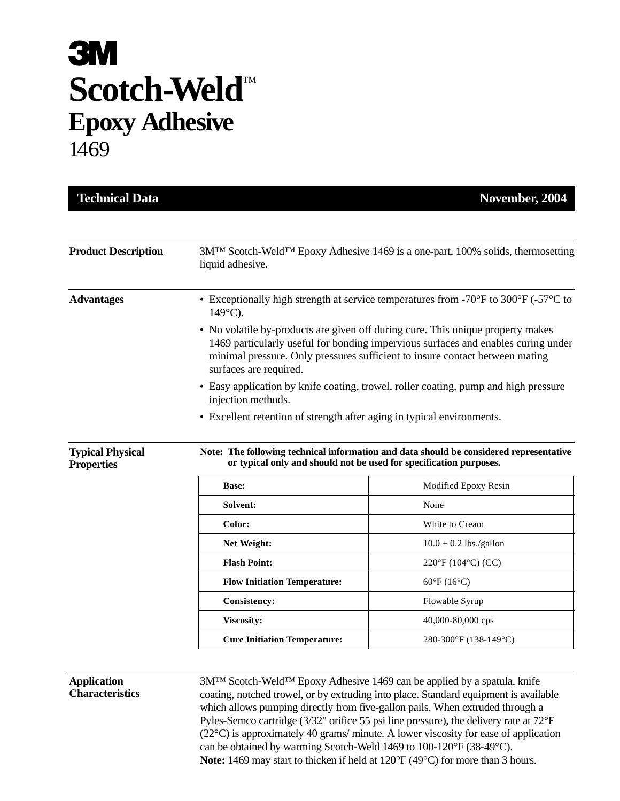# **3M Scotch-Weld™ Epoxy Adhesive** 1469

| <b>Product Description</b>                   | 3M <sup>™</sup> Scotch-Weld <sup>™</sup> Epoxy Adhesive 1469 is a one-part, 100% solids, thermosetting<br>liquid adhesive.                                                                                                                                                     |                                  |
|----------------------------------------------|--------------------------------------------------------------------------------------------------------------------------------------------------------------------------------------------------------------------------------------------------------------------------------|----------------------------------|
| <b>Advantages</b>                            | • Exceptionally high strength at service temperatures from -70 $\mathrm{^{\circ}F}$ to 300 $\mathrm{^{\circ}F}$ (-57 $\mathrm{^{\circ}C}$ to<br>$149^{\circ}$ C).                                                                                                              |                                  |
|                                              | • No volatile by-products are given off during cure. This unique property makes<br>1469 particularly useful for bonding impervious surfaces and enables curing under<br>minimal pressure. Only pressures sufficient to insure contact between mating<br>surfaces are required. |                                  |
|                                              | • Easy application by knife coating, trowel, roller coating, pump and high pressure<br>injection methods.                                                                                                                                                                      |                                  |
|                                              | • Excellent retention of strength after aging in typical environments.                                                                                                                                                                                                         |                                  |
| <b>Typical Physical</b><br><b>Properties</b> | Note: The following technical information and data should be considered representative<br>or typical only and should not be used for specification purposes.                                                                                                                   |                                  |
|                                              |                                                                                                                                                                                                                                                                                |                                  |
|                                              | Base:                                                                                                                                                                                                                                                                          | Modified Epoxy Resin             |
|                                              | Solvent:                                                                                                                                                                                                                                                                       | None                             |
|                                              | Color:                                                                                                                                                                                                                                                                         | White to Cream                   |
|                                              | Net Weight:                                                                                                                                                                                                                                                                    | $10.0 \pm 0.2$ lbs./gallon       |
|                                              | <b>Flash Point:</b>                                                                                                                                                                                                                                                            | $220^{\circ}F(104^{\circ}C)(CC)$ |
|                                              | <b>Flow Initiation Temperature:</b>                                                                                                                                                                                                                                            | $60^{\circ}F(16^{\circ}C)$       |
|                                              | <b>Consistency:</b>                                                                                                                                                                                                                                                            | Flowable Syrup                   |
|                                              | <b>Viscosity:</b>                                                                                                                                                                                                                                                              | 40,000-80,000 cps                |

### **Application Characteristics**

3M™ Scotch-Weld™ Epoxy Adhesive 1469 can be applied by a spatula, knife coating, notched trowel, or by extruding into place. Standard equipment is available which allows pumping directly from five-gallon pails. When extruded through a Pyles-Semco cartridge (3/32" orifice 55 psi line pressure), the delivery rate at 72°F (22°C) is approximately 40 grams/ minute. A lower viscosity for ease of application can be obtained by warming Scotch-Weld 1469 to 100-120°F (38-49°C). **Note:** 1469 may start to thicken if held at 120°F (49°C) for more than 3 hours.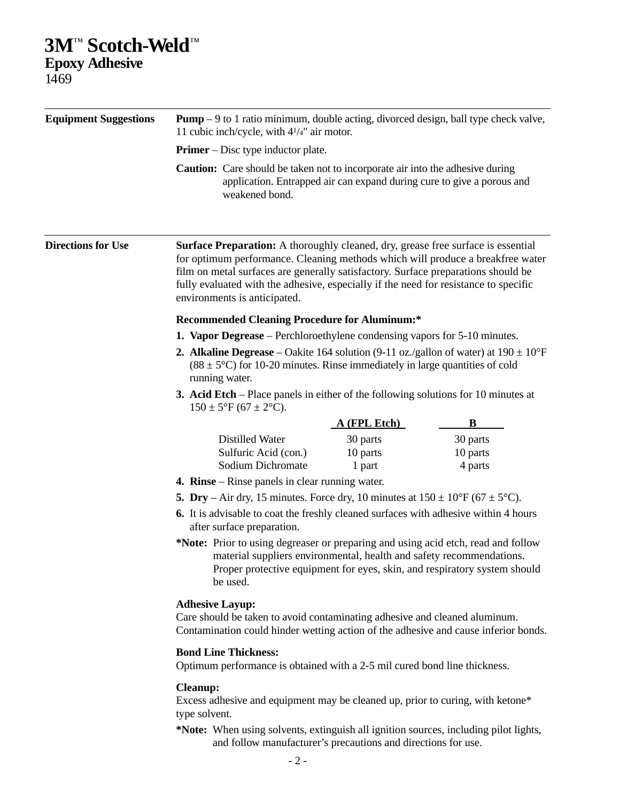## **3M**™ **Scotch-Weld**™

**Epoxy Adhesive** 1469

| <b>Equipment Suggestions</b> | <b>Pump</b> $-9$ to 1 ratio minimum, double acting, divorced design, ball type check valve,<br>11 cubic inch/cycle, with $4^{1/4}$ " air motor.<br><b>Primer</b> – Disc type inductor plate.                                                       |                                                                                                                                                                                                                                                                                                                                                                                        |  |
|------------------------------|----------------------------------------------------------------------------------------------------------------------------------------------------------------------------------------------------------------------------------------------------|----------------------------------------------------------------------------------------------------------------------------------------------------------------------------------------------------------------------------------------------------------------------------------------------------------------------------------------------------------------------------------------|--|
|                              |                                                                                                                                                                                                                                                    |                                                                                                                                                                                                                                                                                                                                                                                        |  |
|                              | <b>Directions for Use</b>                                                                                                                                                                                                                          | <b>Surface Preparation:</b> A thoroughly cleaned, dry, grease free surface is essential<br>for optimum performance. Cleaning methods which will produce a breakfree water<br>film on metal surfaces are generally satisfactory. Surface preparations should be<br>fully evaluated with the adhesive, especially if the need for resistance to specific<br>environments is anticipated. |  |
|                              | <b>Recommended Cleaning Procedure for Aluminum:*</b><br><b>1. Vapor Degrease</b> – Perchloroethylene condensing vapors for 5-10 minutes.                                                                                                           |                                                                                                                                                                                                                                                                                                                                                                                        |  |
|                              |                                                                                                                                                                                                                                                    |                                                                                                                                                                                                                                                                                                                                                                                        |  |
|                              | <b>3. Acid Etch</b> – Place panels in either of the following solutions for 10 minutes at<br>$150 \pm 5$ °F (67 ± 2°C).                                                                                                                            |                                                                                                                                                                                                                                                                                                                                                                                        |  |
|                              | <u>A (FPL Etch)</u><br>B                                                                                                                                                                                                                           |                                                                                                                                                                                                                                                                                                                                                                                        |  |
|                              | Distilled Water<br>30 parts<br>30 parts<br>Sulfuric Acid (con.)<br>10 parts<br>10 parts<br>Sodium Dichromate<br>4 parts<br>1 part                                                                                                                  |                                                                                                                                                                                                                                                                                                                                                                                        |  |
|                              |                                                                                                                                                                                                                                                    | <b>4. Rinse</b> – Rinse panels in clear running water.                                                                                                                                                                                                                                                                                                                                 |  |
|                              | 5. Dry – Air dry, 15 minutes. Force dry, 10 minutes at $150 \pm 10^{\circ}$ F (67 $\pm$ 5°C).                                                                                                                                                      |                                                                                                                                                                                                                                                                                                                                                                                        |  |
|                              | 6. It is advisable to coat the freshly cleaned surfaces with adhesive within 4 hours<br>after surface preparation.                                                                                                                                 |                                                                                                                                                                                                                                                                                                                                                                                        |  |
|                              | *Note: Prior to using degreaser or preparing and using acid etch, read and follow<br>material suppliers environmental, health and safety recommendations.<br>Proper protective equipment for eyes, skin, and respiratory system should<br>be used. |                                                                                                                                                                                                                                                                                                                                                                                        |  |
|                              | <b>Adhesive Layup:</b><br>Care should be taken to avoid contaminating adhesive and cleaned aluminum.<br>Contamination could hinder wetting action of the adhesive and cause inferior bonds.                                                        |                                                                                                                                                                                                                                                                                                                                                                                        |  |
|                              | <b>Bond Line Thickness:</b><br>Optimum performance is obtained with a 2-5 mil cured bond line thickness.                                                                                                                                           |                                                                                                                                                                                                                                                                                                                                                                                        |  |
|                              | <b>Cleanup:</b><br>Excess adhesive and equipment may be cleaned up, prior to curing, with ketone*<br>type solvent.                                                                                                                                 |                                                                                                                                                                                                                                                                                                                                                                                        |  |
|                              | *Note: When using solvents, extinguish all ignition sources, including pilot lights,                                                                                                                                                               |                                                                                                                                                                                                                                                                                                                                                                                        |  |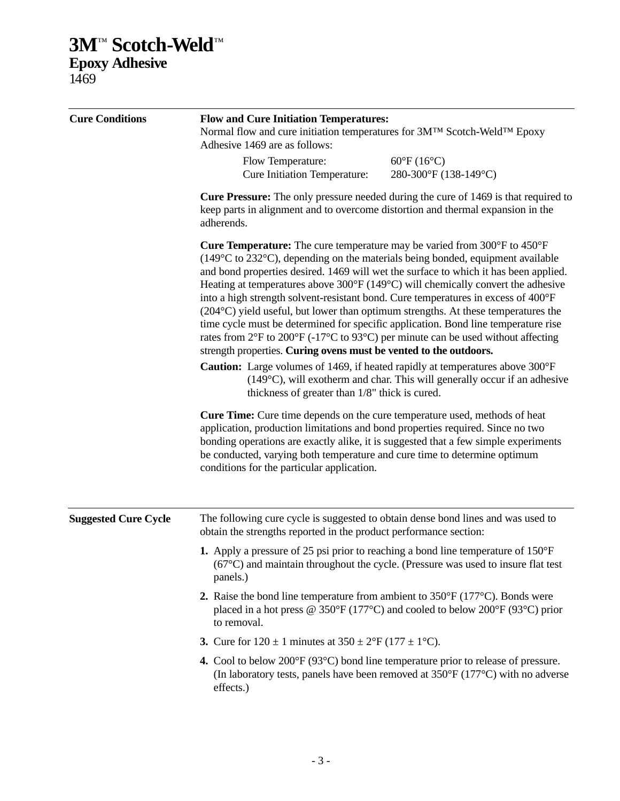## **3M**™ **Scotch-Weld**™ **Epoxy Adhesive**

1469

| <b>Cure Conditions</b>      | <b>Flow and Cure Initiation Temperatures:</b><br>Normal flow and cure initiation temperatures for 3MTM Scotch-WeldTM Epoxy<br>Adhesive 1469 are as follows:                                                                                                                                                                                                                                                                                                                                                                                                                                                                                                                                                                                                                                                                                                                                                                                 |                                                                                                                                                                                                                                                                                                                                                                                                                                                                                                                                                   |  |
|-----------------------------|---------------------------------------------------------------------------------------------------------------------------------------------------------------------------------------------------------------------------------------------------------------------------------------------------------------------------------------------------------------------------------------------------------------------------------------------------------------------------------------------------------------------------------------------------------------------------------------------------------------------------------------------------------------------------------------------------------------------------------------------------------------------------------------------------------------------------------------------------------------------------------------------------------------------------------------------|---------------------------------------------------------------------------------------------------------------------------------------------------------------------------------------------------------------------------------------------------------------------------------------------------------------------------------------------------------------------------------------------------------------------------------------------------------------------------------------------------------------------------------------------------|--|
|                             | Flow Temperature:<br><b>Cure Initiation Temperature:</b>                                                                                                                                                                                                                                                                                                                                                                                                                                                                                                                                                                                                                                                                                                                                                                                                                                                                                    | $60^{\circ}F(16^{\circ}C)$<br>280-300°F (138-149°C)                                                                                                                                                                                                                                                                                                                                                                                                                                                                                               |  |
|                             | <b>Cure Pressure:</b> The only pressure needed during the cure of 1469 is that required to<br>keep parts in alignment and to overcome distortion and thermal expansion in the<br>adherends.                                                                                                                                                                                                                                                                                                                                                                                                                                                                                                                                                                                                                                                                                                                                                 |                                                                                                                                                                                                                                                                                                                                                                                                                                                                                                                                                   |  |
|                             | <b>Cure Temperature:</b> The cure temperature may be varied from $300^{\circ}$ F to $450^{\circ}$ F<br>$(149^{\circ}$ C to 232 $^{\circ}$ C), depending on the materials being bonded, equipment available<br>into a high strength solvent-resistant bond. Cure temperatures in excess of 400°F<br>rates from $2^{\circ}F$ to $200^{\circ}F$ (-17 $^{\circ}C$ to 93 $^{\circ}C$ ) per minute can be used without affecting<br>strength properties. Curing ovens must be vented to the outdoors.<br><b>Caution:</b> Large volumes of 1469, if heated rapidly at temperatures above 300°F<br>thickness of greater than 1/8" thick is cured.<br><b>Cure Time:</b> Cure time depends on the cure temperature used, methods of heat<br>application, production limitations and bond properties required. Since no two<br>be conducted, varying both temperature and cure time to determine optimum<br>conditions for the particular application. | and bond properties desired. 1469 will wet the surface to which it has been applied.<br>Heating at temperatures above $300^{\circ}F(149^{\circ}C)$ will chemically convert the adhesive<br>(204 °C) yield useful, but lower than optimum strengths. At these temperatures the<br>time cycle must be determined for specific application. Bond line temperature rise<br>$(149^{\circ}C)$ , will exotherm and char. This will generally occur if an adhesive<br>bonding operations are exactly alike, it is suggested that a few simple experiments |  |
| <b>Suggested Cure Cycle</b> | The following cure cycle is suggested to obtain dense bond lines and was used to                                                                                                                                                                                                                                                                                                                                                                                                                                                                                                                                                                                                                                                                                                                                                                                                                                                            |                                                                                                                                                                                                                                                                                                                                                                                                                                                                                                                                                   |  |
|                             | obtain the strengths reported in the product performance section:                                                                                                                                                                                                                                                                                                                                                                                                                                                                                                                                                                                                                                                                                                                                                                                                                                                                           |                                                                                                                                                                                                                                                                                                                                                                                                                                                                                                                                                   |  |
|                             | <b>1.</b> Apply a pressure of 25 psi prior to reaching a bond line temperature of $150^{\circ}$ F<br>panels.)                                                                                                                                                                                                                                                                                                                                                                                                                                                                                                                                                                                                                                                                                                                                                                                                                               | $(67^{\circ}$ C) and maintain throughout the cycle. (Pressure was used to insure flat test                                                                                                                                                                                                                                                                                                                                                                                                                                                        |  |
|                             | 2. Raise the bond line temperature from ambient to $350^{\circ}F(177^{\circ}C)$ . Bonds were<br>to removal.                                                                                                                                                                                                                                                                                                                                                                                                                                                                                                                                                                                                                                                                                                                                                                                                                                 | placed in a hot press @ 350°F (177°C) and cooled to below 200°F (93°C) prior                                                                                                                                                                                                                                                                                                                                                                                                                                                                      |  |
|                             | 3. Cure for $120 \pm 1$ minutes at $350 \pm 2^{\circ}F (177 \pm 1^{\circ}C)$ .                                                                                                                                                                                                                                                                                                                                                                                                                                                                                                                                                                                                                                                                                                                                                                                                                                                              |                                                                                                                                                                                                                                                                                                                                                                                                                                                                                                                                                   |  |
|                             | 4. Cool to below $200^{\circ}F(93^{\circ}C)$ bond line temperature prior to release of pressure.<br>effects.)                                                                                                                                                                                                                                                                                                                                                                                                                                                                                                                                                                                                                                                                                                                                                                                                                               | (In laboratory tests, panels have been removed at $350^{\circ}F (177^{\circ}C)$ with no adverse                                                                                                                                                                                                                                                                                                                                                                                                                                                   |  |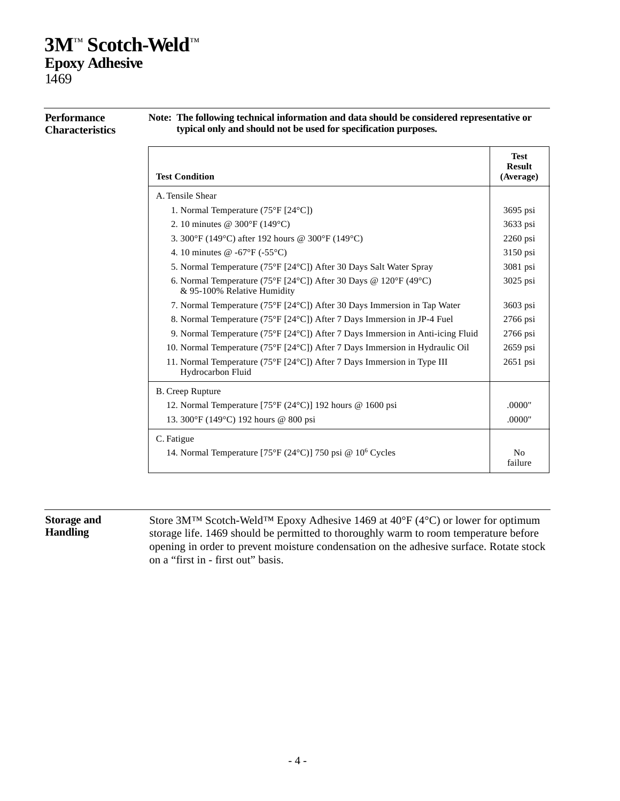### **3M**™ **Scotch-Weld**™ **Epoxy Adhesive** 1469

**Note: The following technical information and data should be considered representative or typical only and should not be used for specification purposes. Test Result**<br>(Average) **Test Condition** A. Tensile Shear 1. Normal Temperature (75°F [24°C]) 3695 psi 2. 10 minutes  $\omega$  300°F (149°C) 3633 psi 3.  $300^{\circ}F(149^{\circ}C)$  after 192 hours @  $300^{\circ}F(149^{\circ}C)$  2260 psi 4. 10 minutes @ -67°F (-55°C) 3150 psi 5. Normal Temperature (75°F [24°C]) After 30 Days Salt Water Spray 3081 psi 6. Normal Temperature (75°F [24°C]) After 30 Days @ 120°F (49°C) 3025 psi & 95-100% Relative Humidity 7. Normal Temperature (75°F [24°C]) After 30 Days Immersion in Tap Water 3603 psi 8. Normal Temperature (75°F [24°C]) After 7 Days Immersion in JP-4 Fuel 2766 psi 9. Normal Temperature (75°F [24°C]) After 7 Days Immersion in Anti-icing Fluid 2766 psi 10. Normal Temperature (75°F [24°C]) After 7 Days Immersion in Hydraulic Oil 2659 psi 11. Normal Temperature (75°F [24°C]) After 7 Days Immersion in Type III 2651 psi Hydrocarbon Fluid B. Creep Rupture 12. Normal Temperature [75°F (24°C)] 192 hours @ 1600 psi .0000" 13. 300°F (149°C) 192 hours @ 800 psi .0000" C. Fatigue 14. Normal Temperature [75°F (24°C)] 750 psi @  $10^6$  Cycles  $\vert$  No failure

#### **Performance Characteristics**

### **Storage and Handling**

Store 3M™ Scotch-Weld™ Epoxy Adhesive 1469 at 40°F (4°C) or lower for optimum storage life. 1469 should be permitted to thoroughly warm to room temperature before opening in order to prevent moisture condensation on the adhesive surface. Rotate stock on a "first in - first out" basis.